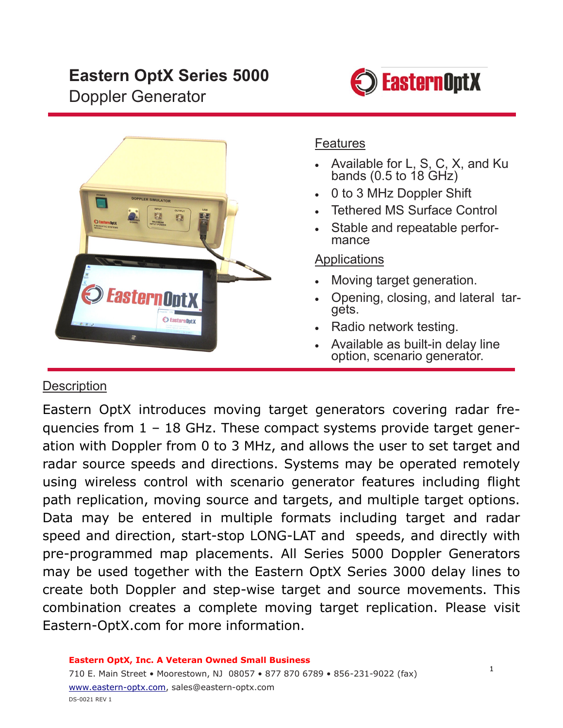# **Eastern OptX Series 5000**  Doppler Generator





#### Features

- Available for L, S, C, X, and Ku bands (0.5 to 18 GHz)
- 0 to 3 MHz Doppler Shift
- Tethered MS Surface Control
- Stable and repeatable performance

#### **Applications**

- Moving target generation.
- Opening, closing, and lateral targets.
- Radio network testing.
- Available as built-in delay line option, scenario generator.

### **Description**

Eastern OptX introduces moving target generators covering radar frequencies from 1 – 18 GHz. These compact systems provide target generation with Doppler from 0 to 3 MHz, and allows the user to set target and radar source speeds and directions. Systems may be operated remotely using wireless control with scenario generator features including flight path replication, moving source and targets, and multiple target options. Data may be entered in multiple formats including target and radar speed and direction, start-stop LONG-LAT and speeds, and directly with pre-programmed map placements. All Series 5000 Doppler Generators may be used together with the Eastern OptX Series 3000 delay lines to create both Doppler and step-wise target and source movements. This combination creates a complete moving target replication. Please visit Eastern-OptX.com for more information.